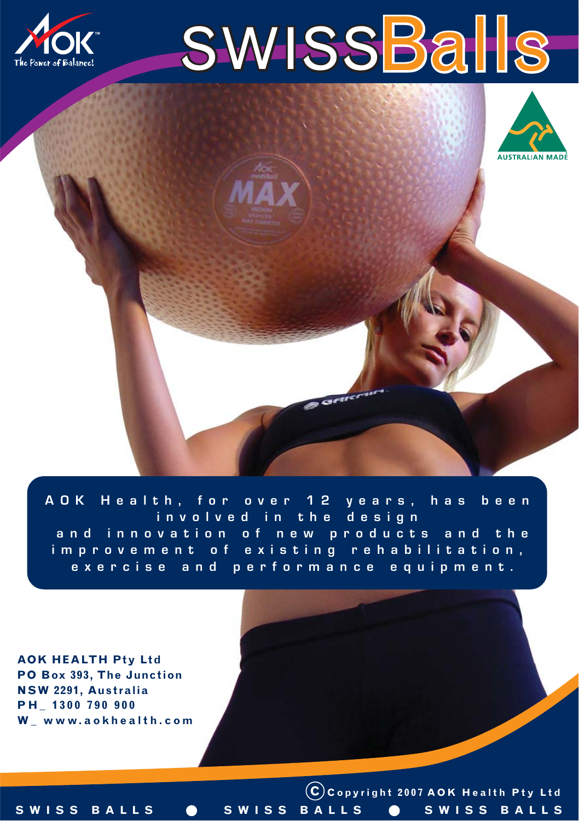





AOK Health, for over 12 years, has been involved in the design and innovation of new products and the improvement of existing rehabilitation, exercise and performance equipment.

**AOK HEALTH Pty Ltd PO Box 393, The Junction NSW 2291, Australia PH\_ 1300 790 900 W\_ www.aokhealth.com**

**C Copyright 2007 AOK Health Pty Ltd** SWISS BALLS **@** SWISS BALLS **@** SWISS BALLS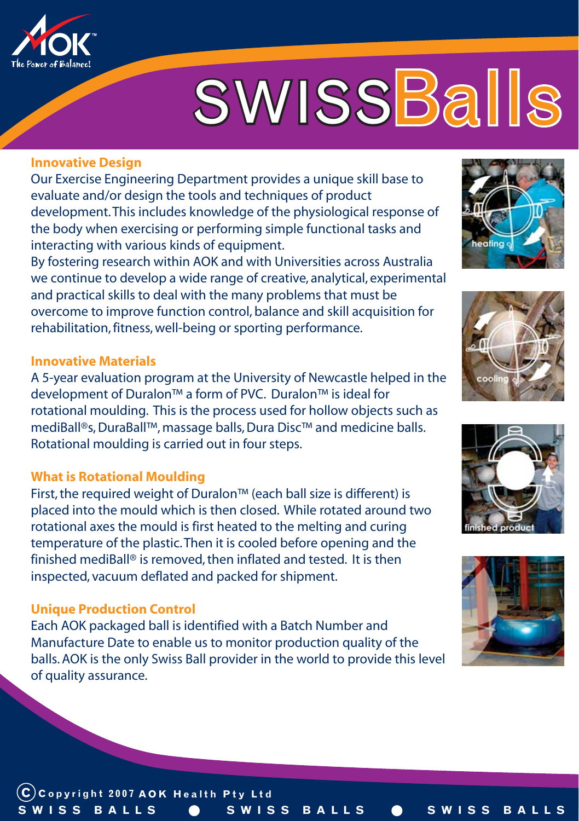

# **SWISSBalls**

#### **Innovative Design**

Our Exercise Engineering Department provides a unique skill base to evaluate and/or design the tools and techniques of product development. This includes knowledge of the physiological response of the body when exercising or performing simple functional tasks and interacting with various kinds of equipment.

By fostering research within AOK and with Universities across Australia we continue to develop a wide range of creative, analytical, experimental and practical skills to deal with the many problems that must be overcome to improve function control, balance and skill acquisition for rehabilitation, fitness, well-being or sporting performance.

#### **Innovative Materials**

A 5-year evaluation program at the University of Newcastle helped in the development of Duralon™ a form of PVC. Duralon™ is ideal for rotational moulding. This is the process used for hollow objects such as mediBall®s, DuraBall™, massage balls, Dura Disc™ and medicine balls. Rotational moulding is carried out in four steps.

#### **What is Rotational Moulding**

First, the required weight of Duralon™ (each ball size is different) is placed into the mould which is then closed. While rotated around two rotational axes the mould is first heated to the melting and curing temperature of the plastic. Then it is cooled before opening and the finished mediBall® is removed, then inflated and tested. It is then inspected, vacuum deflated and packed for shipment.

#### **Unique Production Control**

Each AOK packaged ball is identified with a Batch Number and Manufacture Date to enable us to monitor production quality of the balls. AOK is the only Swiss Ball provider in the world to provide this level of quality assurance.









**C Copyright 2007 AOK Health Pty Ltd SWISS BALLS \_ SWISS BALLS \_ SWISS BALLS**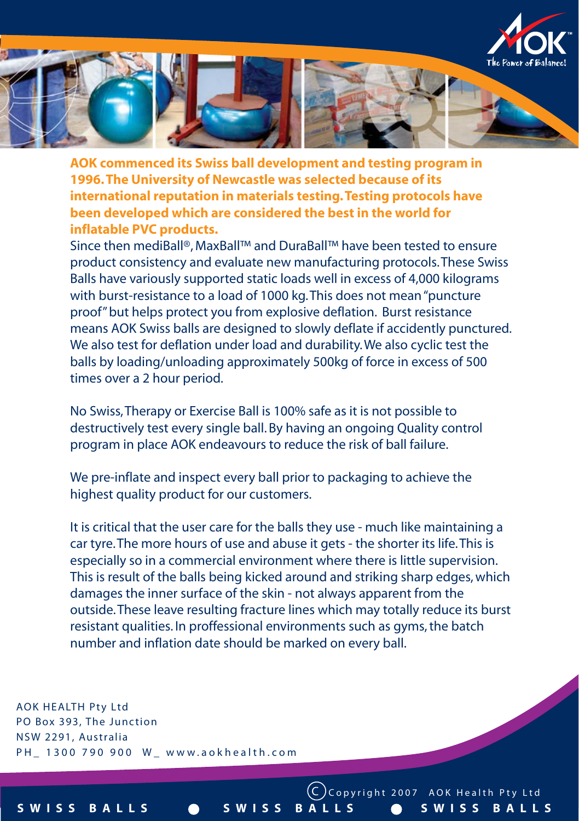



**AOK commenced its Swiss ball development and testing program in 1996. The University of Newcastle was selected because of its international reputation in materials testing. Testing protocols have been developed which are considered the best in the world for inflatable PVC products.**

Since then mediBall®, MaxBall™ and DuraBall™ have been tested to ensure product consistency and evaluate new manufacturing protocols. These Swiss Balls have variously supported static loads well in excess of 4,000 kilograms with burst-resistance to a load of 1000 kg. This does not mean "puncture proof" but helps protect you from explosive deflation. Burst resistance means AOK Swiss balls are designed to slowly deflate if accidently punctured. We also test for deflation under load and durability. We also cyclic test the balls by loading/unloading approximately 500kg of force in excess of 500 times over a 2 hour period.

No Swiss, Therapy or Exercise Ball is 100% safe as it is not possible to destructively test every single ball. By having an ongoing Quality control program in place AOK endeavours to reduce the risk of ball failure.

We pre-inflate and inspect every ball prior to packaging to achieve the highest quality product for our customers.

It is critical that the user care for the balls they use - much like maintaining a car tyre. The more hours of use and abuse it gets - the shorter its life. This is especially so in a commercial environment where there is little supervision. This is result of the balls being kicked around and striking sharp edges, which damages the inner surface of the skin - not always apparent from the outside. These leave resulting fracture lines which may totally reduce its burst resistant qualities. In proffessional environments such as gyms, the batch number and inflation date should be marked on every ball.

**SWISS BALLS \_ SWISS BALLS \_ SWISS BALLS**

**C Copyright 2007 AOK Health Pty Ltd**

**AOK HEALTH Pty Ltd PO Box 393, The Junction NSW 2291, Australia PH\_ 1300 790 900 W\_ www.aokhealth.com**